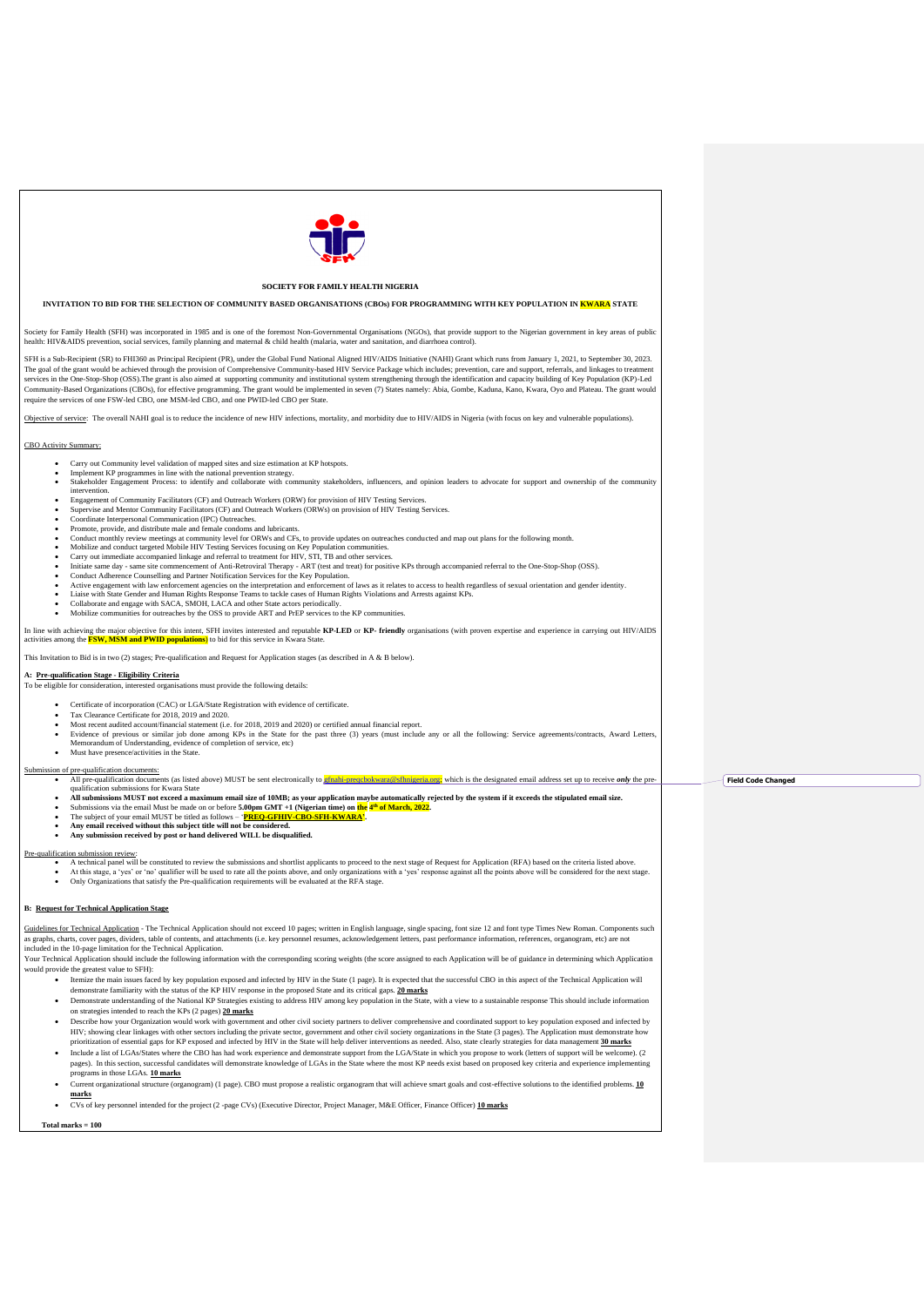Guidelines for Technical Application - The Technical Application should not exceed 10 pages; written in English language, single spacing, font size 12 and font type Times New Roman. Components such as graphs, charts, cover pages, dividers, table of contents, and attachments (i.e. key personnel resumes, acknowledgement letters, past performance information, references, organogram, etc) are not included in the 10-page limitation for the Technical Application.

| <b>SOCIETY FOR FAMILY HEALTH NIGERIA</b>                                                                                                                                                                                                                                                                                                                                                                                                                                                                                                                                                                                                                                                                                                                                                                                                                                                                                                                                                                                                                                                                                                                                                                                                                                                                                                                                                                                                                                                                                                                                                                                                                                                                                                                                                                                                                                                                                                                                                                                                                                                                                                                                                                                                                                                                                                                                                                                                                                                                                                 |                           |  |
|------------------------------------------------------------------------------------------------------------------------------------------------------------------------------------------------------------------------------------------------------------------------------------------------------------------------------------------------------------------------------------------------------------------------------------------------------------------------------------------------------------------------------------------------------------------------------------------------------------------------------------------------------------------------------------------------------------------------------------------------------------------------------------------------------------------------------------------------------------------------------------------------------------------------------------------------------------------------------------------------------------------------------------------------------------------------------------------------------------------------------------------------------------------------------------------------------------------------------------------------------------------------------------------------------------------------------------------------------------------------------------------------------------------------------------------------------------------------------------------------------------------------------------------------------------------------------------------------------------------------------------------------------------------------------------------------------------------------------------------------------------------------------------------------------------------------------------------------------------------------------------------------------------------------------------------------------------------------------------------------------------------------------------------------------------------------------------------------------------------------------------------------------------------------------------------------------------------------------------------------------------------------------------------------------------------------------------------------------------------------------------------------------------------------------------------------------------------------------------------------------------------------------------------|---------------------------|--|
| INVITATION TO BID FOR THE SELECTION OF COMMUNITY BASED ORGANISATIONS (CBOs) FOR PROGRAMMING WITH KEY POPULATION IN KWARA STATE                                                                                                                                                                                                                                                                                                                                                                                                                                                                                                                                                                                                                                                                                                                                                                                                                                                                                                                                                                                                                                                                                                                                                                                                                                                                                                                                                                                                                                                                                                                                                                                                                                                                                                                                                                                                                                                                                                                                                                                                                                                                                                                                                                                                                                                                                                                                                                                                           |                           |  |
| Society for Family Health (SFH) was incorporated in 1985 and is one of the foremost Non-Governmental Organisations (NGOs), that provide support to the Nigerian government in key areas of public<br>health: HIV&AIDS prevention, social services, family planning and maternal & child health (malaria, water and sanitation, and diarrhoea control).                                                                                                                                                                                                                                                                                                                                                                                                                                                                                                                                                                                                                                                                                                                                                                                                                                                                                                                                                                                                                                                                                                                                                                                                                                                                                                                                                                                                                                                                                                                                                                                                                                                                                                                                                                                                                                                                                                                                                                                                                                                                                                                                                                                   |                           |  |
| SFH is a Sub-Recipient (SR) to FHI360 as Principal Recipient (PR), under the Global Fund National Aligned HIV/AIDS Initiative (NAHI) Grant which runs from January 1, 2021, to September 30, 2023.<br>The goal of the grant would be achieved through the provision of Comprehensive Community-based HIV Service Package which includes; prevention, care and support, referrals, and linkages to treatment<br>services in the One-Stop-Shop (OSS). The grant is also aimed at supporting community and institutional system strengthening through the identification and capacity building of Key Population (KP)-Led<br>Community-Based Organizations (CBOs), for effective programming. The grant would be implemented in seven (7) States namely: Abia, Gombe, Kaduna, Kano, Kwara, Oyo and Plateau. The grant would<br>require the services of one FSW-led CBO, one MSM-led CBO, and one PWID-led CBO per State.                                                                                                                                                                                                                                                                                                                                                                                                                                                                                                                                                                                                                                                                                                                                                                                                                                                                                                                                                                                                                                                                                                                                                                                                                                                                                                                                                                                                                                                                                                                                                                                                                    |                           |  |
| Objective of service: The overall NAHI goal is to reduce the incidence of new HIV infections, mortality, and morbidity due to HIV/AIDS in Nigeria (with focus on key and vulnerable populations).                                                                                                                                                                                                                                                                                                                                                                                                                                                                                                                                                                                                                                                                                                                                                                                                                                                                                                                                                                                                                                                                                                                                                                                                                                                                                                                                                                                                                                                                                                                                                                                                                                                                                                                                                                                                                                                                                                                                                                                                                                                                                                                                                                                                                                                                                                                                        |                           |  |
| CBO Activity Summary:                                                                                                                                                                                                                                                                                                                                                                                                                                                                                                                                                                                                                                                                                                                                                                                                                                                                                                                                                                                                                                                                                                                                                                                                                                                                                                                                                                                                                                                                                                                                                                                                                                                                                                                                                                                                                                                                                                                                                                                                                                                                                                                                                                                                                                                                                                                                                                                                                                                                                                                    |                           |  |
| Carry out Community level validation of mapped sites and size estimation at KP hotspots.<br>Implement KP programmes in line with the national prevention strategy.<br>Stakeholder Engagement Process: to identify and collaborate with community stakeholders, influencers, and opinion leaders to advocate for support and ownership of the community<br>intervention.<br>Engagement of Community Facilitators (CF) and Outreach Workers (ORW) for provision of HIV Testing Services.<br>Supervise and Mentor Community Facilitators (CF) and Outreach Workers (ORWs) on provision of HIV Testing Services.<br>Coordinate Interpersonal Communication (IPC) Outreaches.<br>Promote, provide, and distribute male and female condoms and lubricants.<br>Conduct monthly review meetings at community level for ORWs and CFs, to provide updates on outreaches conducted and map out plans for the following month.<br>Mobilize and conduct targeted Mobile HIV Testing Services focusing on Key Population communities.<br>Carry out immediate accompanied linkage and referral to treatment for HIV, STI, TB and other services.<br>Initiate same day - same site commencement of Anti-Retroviral Therapy - ART (test and treat) for positive KPs through accompanied referral to the One-Stop-Shop (OSS).<br>Conduct Adherence Counselling and Partner Notification Services for the Key Population.<br>Active engagement with law enforcement agencies on the interpretation and enforcement of laws as it relates to access to health regardless of sexual orientation and gender identity.<br>Liaise with State Gender and Human Rights Response Teams to tackle cases of Human Rights Violations and Arrests against KPs.<br>Collaborate and engage with SACA, SMOH, LACA and other State actors periodically.<br>Mobilize communities for outreaches by the OSS to provide ART and PrEP services to the KP communities.<br>In line with achieving the major objective for this intent, SFH invites interested and reputable KP-LED or KP- friendly organisations (with proven expertise and experience in carrying out HIV/AIDS<br>activities among the <b>FSW, MSM and PWID populations</b> ) to bid for this service in Kwara State.<br>This Invitation to Bid is in two (2) stages; Pre-qualification and Request for Application stages (as described in A & B below).<br>A: Pre-qualification Stage - Eligibility Criteria<br>To be eligible for consideration, interested organisations must provide the following details: |                           |  |
| Certificate of incorporation (CAC) or LGA/State Registration with evidence of certificate.<br>Tax Clearance Certificate for 2018, 2019 and 2020.<br>Most recent audited account/financial statement (i.e. for 2018, 2019 and 2020) or certified annual financial report.<br>Evidence of previous or similar job done among KPs in the State for the past three (3) years (must include any or all the following: Service agreements/contracts, Award Letters,<br>Memorandum of Understanding, evidence of completion of service, etc)<br>Must have presence/activities in the State.<br>$\bullet$                                                                                                                                                                                                                                                                                                                                                                                                                                                                                                                                                                                                                                                                                                                                                                                                                                                                                                                                                                                                                                                                                                                                                                                                                                                                                                                                                                                                                                                                                                                                                                                                                                                                                                                                                                                                                                                                                                                                        |                           |  |
| Submission of pre-qualification documents:<br>All pre-qualification documents (as listed above) MUST be sent electronically to <b>gfnahi-preqcbokwara@sfhnigeria.org</b> ; which is the designated email address set up to receive <i>only</i> the pre-<br>$\bullet$<br>qualification submissions for Kwara State<br>All submissions MUST not exceed a maximum email size of 10MB; as your application maybe automatically rejected by the system if it exceeds the stipulated email size.<br>$\bullet$<br>Submissions via the email Must be made on or before 5.00pm GMT +1 (Nigerian time) on the 4 <sup>th</sup> of March, 2022.<br>The subject of your email MUST be titled as follows – 'PREQ-GFHIV-CBO-SFH-KWARA'.<br>Any email received without this subject title will not be considered.<br>Any submission received by post or hand delivered WILL be disqualified.                                                                                                                                                                                                                                                                                                                                                                                                                                                                                                                                                                                                                                                                                                                                                                                                                                                                                                                                                                                                                                                                                                                                                                                                                                                                                                                                                                                                                                                                                                                                                                                                                                                             | <b>Field Code Changed</b> |  |
| Pre-qualification submission review:<br>A technical panel will be constituted to review the submissions and shortlist applicants to proceed to the next stage of Request for Application (RFA) based on the criteria listed above.<br>$\bullet$<br>At this stage, a 'yes' or 'no' qualifier will be used to rate all the points above, and only organizations with a 'yes' response against all the points above will be considered for the next stage.<br>$\bullet$<br>Only Organizations that satisfy the Pre-qualification requirements will be evaluated at the RFA stage.                                                                                                                                                                                                                                                                                                                                                                                                                                                                                                                                                                                                                                                                                                                                                                                                                                                                                                                                                                                                                                                                                                                                                                                                                                                                                                                                                                                                                                                                                                                                                                                                                                                                                                                                                                                                                                                                                                                                                           |                           |  |

# **B: Request for Technical Application Stage**

Your Technical Application should include the following information with the corresponding scoring weights (the score assigned to each Application will be of guidance in determining which Application would provide the greatest value to SFH):

• Itemize the main issues faced by key population exposed and infected by HIV in the State (1 page). It is expected that the successful CBO in this aspect of the Technical Application will

- demonstrate familiarity with the status of the KP HIV response in the proposed State and its critical gaps. **20 marks**
- Demonstrate understanding of the National KP Strategies existing to address HIV among key population in the State, with a view to a sustainable response This should include information on strategies intended to reach the KPs (2 pages) **20 marks**
- Describe how your Organization would work with government and other civil society partners to deliver comprehensive and coordinated support to key population exposed and infected by HIV; showing clear linkages with other sectors including the private sector, government and other civil society organizations in the State (3 pages). The Application must demonstrate how prioritization of essential gaps for KP exposed and infected by HIV in the State will help deliver interventions as needed. Also, state clearly strategies for data management **30 marks**
- Include a list of LGAs/States where the CBO has had work experience and demonstrate support from the LGA/State in which you propose to work (letters of support will be welcome). (2 pages). In this section, successful candidates will demonstrate knowledge of LGAs in the State where the most KP needs exist based on proposed key criteria and experience implementing programs in those LGAs. **10 marks**
- Current organizational structure (organogram) (1 page). CBO must propose a realistic organogram that will achieve smart goals and cost-effective solutions to the identified problems. **10 marks**
- CVs of key personnel intended for the project (2 -page CVs) (Executive Director, Project Manager, M&E Officer, Finance Officer) **10 marks**

 **Total marks = 100**